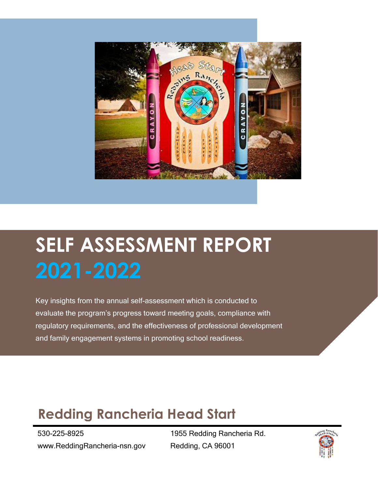

# **SELF ASSESSMENT REPORT 2021-2022**

Key insights from the annual self-assessment which is conducted to evaluate the program's progress toward meeting goals, compliance with regulatory requirements, and the effectiveness of professional development and family engagement systems in promoting school readiness.

### **Redding Rancheria Head Start**

530-225-8925 www.ReddingRancheria-nsn.gov

1955 Redding Rancheria Rd. Redding, CA 96001

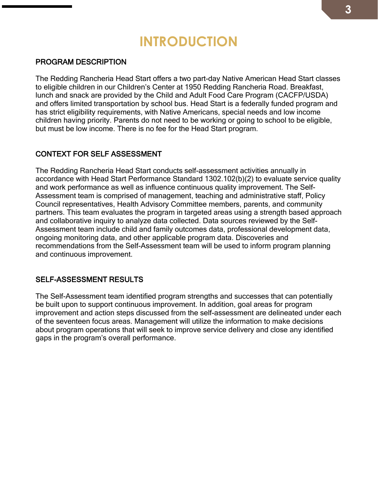### **INTRODUCTION**

#### PROGRAM DESCRIPTION

The Redding Rancheria Head Start offers a two part-day Native American Head Start classes to eligible children in our Children's Center at 1950 Redding Rancheria Road. Breakfast, lunch and snack are provided by the Child and Adult Food Care Program (CACFP/USDA) and offers limited transportation by school bus. Head Start is a federally funded program and has strict eligibility requirements, with Native Americans, special needs and low income children having priority. Parents do not need to be working or going to school to be eligible, but must be low income. There is no fee for the Head Start program.

#### CONTEXT FOR SELF ASSESSMENT

The Redding Rancheria Head Start conducts self-assessment activities annually in accordance with Head Start Performance Standard 1302.102(b)(2) to evaluate service quality and work performance as well as influence continuous quality improvement. The Self-Assessment team is comprised of management, teaching and administrative staff, Policy Council representatives, Health Advisory Committee members, parents, and community partners. This team evaluates the program in targeted areas using a strength based approach and collaborative inquiry to analyze data collected. Data sources reviewed by the Self-Assessment team include child and family outcomes data, professional development data, ongoing monitoring data, and other applicable program data. Discoveries and recommendations from the Self-Assessment team will be used to inform program planning and continuous improvement.

#### SELF-ASSESSMENT RESULTS

The Self-Assessment team identified program strengths and successes that can potentially be built upon to support continuous improvement. In addition, goal areas for program improvement and action steps discussed from the self-assessment are delineated under each of the seventeen focus areas. Management will utilize the information to make decisions about program operations that will seek to improve service delivery and close any identified gaps in the program's overall performance.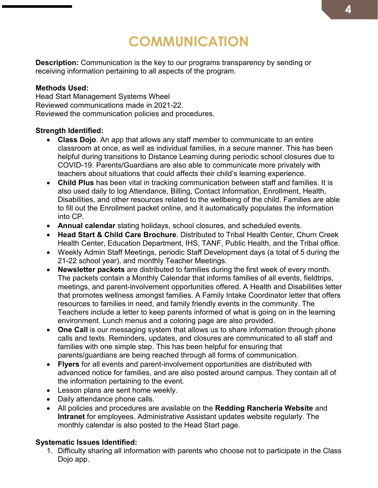### **COMMUNICATION**

**Description:** Communication is the key to our programs transparency by sending or receiving information pertaining to all aspects of the program.

#### **Methods Used:**

Head Start Management Systems Wheel Reviewed communications made in 2021-22. Reviewed the communication policies and procedures.

#### **Strength Identified:**

- **Class Dojo**. An app that allows any staff member to communicate to an entire classroom at once, as well as individual families, in a secure manner. This has been helpful during transitions to Distance Learning during periodic school closures due to COVID-19. Parents/Guardians are also able to communicate more privately with teachers about situations that could affects their child's learning experience.
- **Child Plus** has been vital in tracking communication between staff and families. It is also used daily to log Attendance, Billing, Contact Information, Enrollment, Health, Disabilities, and other resources related to the wellbeing of the child. Families are able to fill out the Enrollment packet online, and it automatically populates the information into CP.
- **Annual calendar** stating holidays, school closures, and scheduled events.
- **Head Start & Child Care Brochure**. Distributed to Tribal Health Center, Churn Creek Health Center, Education Department, IHS, TANF, Public Health, and the Tribal office.
- Weekly Admin Staff Meetings, periodic Staff Development days (a total of 5 during the 21-22 school year), and monthly Teacher Meetings.
- **Newsletter packets** are distributed to families during the first week of every month. The packets contain a Monthly Calendar that informs families of all events, fieldtrips, meetings, and parent-involvement opportunities offered. A Health and Disabilities letter that promotes wellness amongst families. A Family Intake Coordinator letter that offers resources to families in need, and family friendly events in the community. The Teachers include a letter to keep parents informed of what is going on in the learning environment. Lunch menus and a coloring page are also provided.
- **One Call** is our messaging system that allows us to share information through phone calls and texts. Reminders, updates, and closures are communicated to all staff and families with one simple step. This has been helpful for ensuring that parents/guardians are being reached through all forms of communication.
- **Flyers** for all events and parent-involvement opportunities are distributed with advanced notice for families, and are also posted around campus. They contain all of the information pertaining to the event.
- Lesson plans are sent home weekly.
- Daily attendance phone calls.
- All policies and procedures are available on the **Redding Rancheria Website** and **Intranet** for employees. Administrative Assistant updates website regularly. The monthly calendar is also posted to the Head Start page.

#### **Systematic Issues Identified:**

1. Difficulty sharing all information with parents who choose not to participate in the Class Dojo app.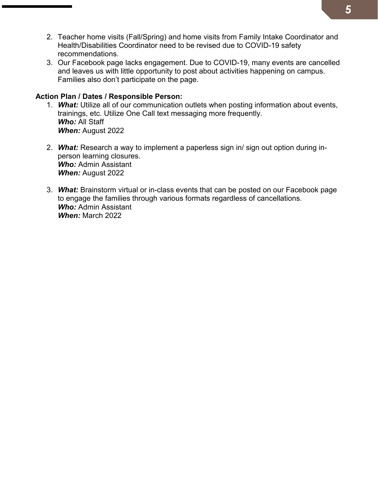- 2. Teacher home visits (Fall/Spring) and home visits from Family Intake Coordinator and Health/Disabilities Coordinator need to be revised due to COVID-19 safety recommendations.
- 3. Our Facebook page lacks engagement. Due to COVID-19, many events are cancelled and leaves us with little opportunity to post about activities happening on campus. Families also don't participate on the page.

#### **Action Plan / Dates / Responsible Person:**

- 1. *What:* Utilize all of our communication outlets when posting information about events, trainings, etc. Utilize One Call text messaging more frequently. *Who:* All Staff *When:* August 2022
- 2. *What:* Research a way to implement a paperless sign in/ sign out option during inperson learning closures. *Who:* Admin Assistant *When:* August 2022
- 3. *What:* Brainstorm virtual or in-class events that can be posted on our Facebook page to engage the families through various formats regardless of cancellations. *Who:* Admin Assistant *When:* March 2022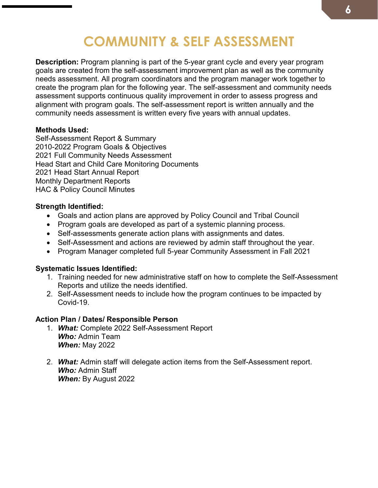### **COMMUNITY & SELF ASSESSMENT**

**Description:** Program planning is part of the 5-year grant cycle and every year program goals are created from the self-assessment improvement plan as well as the community needs assessment. All program coordinators and the program manager work together to create the program plan for the following year. The self-assessment and community needs assessment supports continuous quality improvement in order to assess progress and alignment with program goals. The self-assessment report is written annually and the community needs assessment is written every five years with annual updates.

#### **Methods Used:**

Self-Assessment Report & Summary 2010-2022 Program Goals & Objectives 2021 Full Community Needs Assessment Head Start and Child Care Monitoring Documents 2021 Head Start Annual Report Monthly Department Reports HAC & Policy Council Minutes

#### **Strength Identified:**

- Goals and action plans are approved by Policy Council and Tribal Council
- Program goals are developed as part of a systemic planning process.
- Self-assessments generate action plans with assignments and dates.
- Self-Assessment and actions are reviewed by admin staff throughout the year.
- Program Manager completed full 5-year Community Assessment in Fall 2021

#### **Systematic Issues Identified:**

- 1. Training needed for new administrative staff on how to complete the Self-Assessment Reports and utilize the needs identified.
- 2. Self-Assessment needs to include how the program continues to be impacted by Covid-19.

#### **Action Plan / Dates/ Responsible Person**

- 1. *What:* Complete 2022 Self-Assessment Report *Who:* Admin Team *When:* May 2022
- 2. *What:* Admin staff will delegate action items from the Self-Assessment report. *Who:* Admin Staff *When:* By August 2022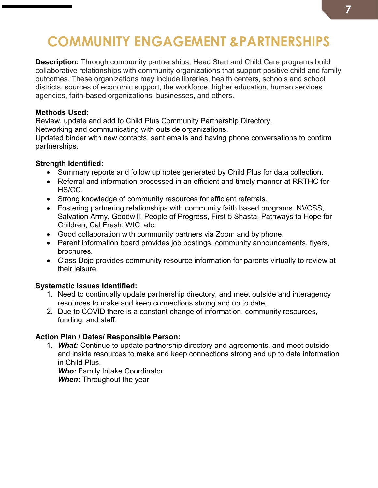## **COMMUNITY ENGAGEMENT &PARTNERSHIPS**

**Description:** Through community partnerships, Head Start and Child Care programs build collaborative relationships with community organizations that support positive child and family outcomes. These organizations may include libraries, health centers, schools and school districts, sources of economic support, the workforce, higher education, human services agencies, faith-based organizations, businesses, and others.

#### **Methods Used:**

Review, update and add to Child Plus Community Partnership Directory.

Networking and communicating with outside organizations.

Updated binder with new contacts, sent emails and having phone conversations to confirm partnerships.

#### **Strength Identified:**

- Summary reports and follow up notes generated by Child Plus for data collection.
- Referral and information processed in an efficient and timely manner at RRTHC for HS/CC.
- Strong knowledge of community resources for efficient referrals.
- Fostering partnering relationships with community faith based programs. NVCSS, Salvation Army, Goodwill, People of Progress, First 5 Shasta, Pathways to Hope for Children, Cal Fresh, WIC, etc.
- Good collaboration with community partners via Zoom and by phone.
- Parent information board provides job postings, community announcements, flyers, brochures.
- Class Dojo provides community resource information for parents virtually to review at their leisure.

#### **Systematic Issues Identified:**

- 1. Need to continually update partnership directory, and meet outside and interagency resources to make and keep connections strong and up to date.
- 2. Due to COVID there is a constant change of information, community resources, funding, and staff.

#### **Action Plan / Dates/ Responsible Person:**

1. *What:* Continue to update partnership directory and agreements, and meet outside and inside resources to make and keep connections strong and up to date information in Child Plus.

*Who:* Family Intake Coordinator *When:* Throughout the year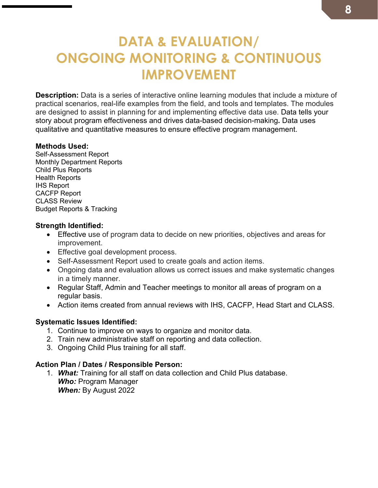### **DATA & EVALUATION/ ONGOING MONITORING & CONTINUOUS IMPROVEMENT**

**Description:** Data is a series of interactive online learning modules that include a mixture of practical scenarios, real-life examples from the field, and tools and templates. The modules are designed to assist in planning for and implementing effective data use. Data tells your story about program effectiveness and drives data-based decision-making**.** Data uses qualitative and quantitative measures to ensure effective program management.

#### **Methods Used:**

Self-Assessment Report Monthly Department Reports Child Plus Reports Health Reports IHS Report CACFP Report CLASS Review Budget Reports & Tracking

#### **Strength Identified:**

- Effective use of program data to decide on new priorities, objectives and areas for improvement.
- Effective goal development process.
- Self-Assessment Report used to create goals and action items.
- Ongoing data and evaluation allows us correct issues and make systematic changes in a timely manner.
- Regular Staff, Admin and Teacher meetings to monitor all areas of program on a regular basis.
- Action items created from annual reviews with IHS, CACFP, Head Start and CLASS.

#### **Systematic Issues Identified:**

- 1. Continue to improve on ways to organize and monitor data.
- 2. Train new administrative staff on reporting and data collection.
- 3. Ongoing Child Plus training for all staff.

#### **Action Plan / Dates / Responsible Person:**

1. *What:* Training for all staff on data collection and Child Plus database. *Who:* Program Manager *When:* By August 2022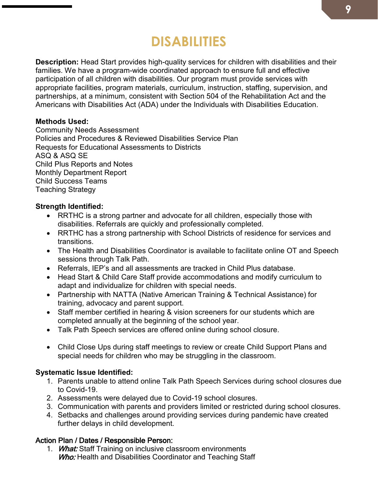### **DISABILITIES**

**Description:** Head Start provides high-quality services for children with disabilities and their families. We have a program-wide coordinated approach to ensure full and effective participation of all children with disabilities. Our program must provide services with appropriate facilities, program materials, curriculum, instruction, staffing, supervision, and partnerships, at a minimum, consistent with [Section 504 of the Rehabilitation Act](https://www2.ed.gov/about/offices/list/ocr/504faq.html) and the [Americans with Disabilities Act \(ADA\)](https://www.ada.gov/2010_regs.htm) under the [Individuals with Disabilities Education.](https://sites.ed.gov/idea/) 

#### **Methods Used:**

Community Needs Assessment Policies and Procedures & Reviewed Disabilities Service Plan Requests for Educational Assessments to Districts ASQ & ASQ SE Child Plus Reports and Notes Monthly Department Report Child Success Teams Teaching Strategy

#### **Strength Identified:**

- RRTHC is a strong partner and advocate for all children, especially those with disabilities. Referrals are quickly and professionally completed.
- RRTHC has a strong partnership with School Districts of residence for services and transitions.
- The Health and Disabilities Coordinator is available to facilitate online OT and Speech sessions through Talk Path.
- Referrals, IEP's and all assessments are tracked in Child Plus database.
- Head Start & Child Care Staff provide accommodations and modify curriculum to adapt and individualize for children with special needs.
- Partnership with NATTA (Native American Training & Technical Assistance) for training, advocacy and parent support.
- Staff member certified in hearing & vision screeners for our students which are completed annually at the beginning of the school year.
- Talk Path Speech services are offered online during school closure.
- Child Close Ups during staff meetings to review or create Child Support Plans and special needs for children who may be struggling in the classroom.

#### **Systematic Issue Identified:**

- 1. Parents unable to attend online Talk Path Speech Services during school closures due to Covid-19.
- 2. Assessments were delayed due to Covid-19 school closures.
- 3. Communication with parents and providers limited or restricted during school closures.
- 4. Setbacks and challenges around providing services during pandemic have created further delays in child development.

#### Action Plan / Dates / Responsible Person:

1. What: Staff Training on inclusive classroom environments Who: Health and Disabilities Coordinator and Teaching Staff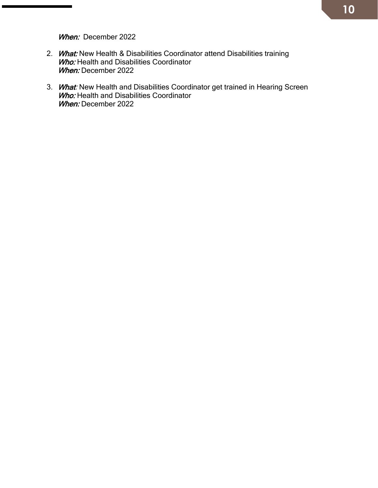When: December 2022

- 2. What: New Health & Disabilities Coordinator attend Disabilities training **Who:** Health and Disabilities Coordinator When: December 2022
- 3. What: New Health and Disabilities Coordinator get trained in Hearing Screen **Who:** Health and Disabilities Coordinator When: December 2022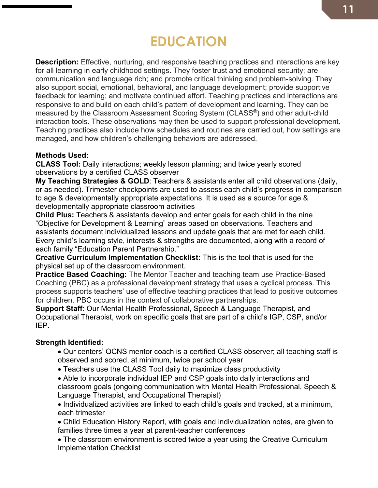## **EDUCATION**

**Description:** Effective, nurturing, and responsive teaching practices and interactions are key for all learning in early childhood settings. They foster trust and emotional security; are communication and language rich; and promote critical thinking and problem-solving. They also support social, emotional, behavioral, and language development; provide supportive feedback for learning; and motivate continued effort. Teaching practices and interactions are responsive to and build on each child's pattern of development and learning. They can be measured by the Classroom Assessment Scoring System (CLASS®) and other adult-child interaction tools. These observations may then be used to support professional development. Teaching practices also include how schedules and routines are carried out, how settings are managed, and how children's challenging behaviors are addressed.

#### **Methods Used:**

**CLASS Tool:** Daily interactions; weekly lesson planning; and twice yearly scored observations by a certified CLASS observer

**My Teaching Strategies & GOLD**: Teachers & assistants enter all child observations (daily, or as needed). Trimester checkpoints are used to assess each child's progress in comparison to age & developmentally appropriate expectations. It is used as a source for age & developmentally appropriate classroom activities

**Child Plus:** Teachers & assistants develop and enter goals for each child in the nine "Objective for Development & Learning" areas based on observations. Teachers and assistants document individualized lessons and update goals that are met for each child. Every child's learning style, interests & strengths are documented, along with a record of each family "Education Parent Partnership."

**Creative Curriculum Implementation Checklist:** This is the tool that is used for the physical set up of the classroom environment.

**Practice Based Coaching:** The Mentor Teacher and teaching team use Practice-Based Coaching (PBC) as a professional development strategy that uses a cyclical process. This process supports teachers' use of effective teaching practices that lead to positive outcomes for children. PBC occurs in the context of collaborative partnerships.

**Support Staff**: Our Mental Health Professional, Speech & Language Therapist, and Occupational Therapist, work on specific goals that are part of a child's IGP, CSP, and/or IEP.

#### **Strength Identified:**

- Our centers' QCNS mentor coach is a certified CLASS observer; all teaching staff is observed and scored, at minimum, twice per school year
- Teachers use the CLASS Tool daily to maximize class productivity
- Able to incorporate individual IEP and CSP goals into daily interactions and classroom goals (ongoing communication with Mental Health Professional, Speech & Language Therapist, and Occupational Therapist)
- Individualized activities are linked to each child's goals and tracked, at a minimum, each trimester
- Child Education History Report, with goals and individualization notes, are given to families three times a year at parent-teacher conferences
- The classroom environment is scored twice a year using the Creative Curriculum Implementation Checklist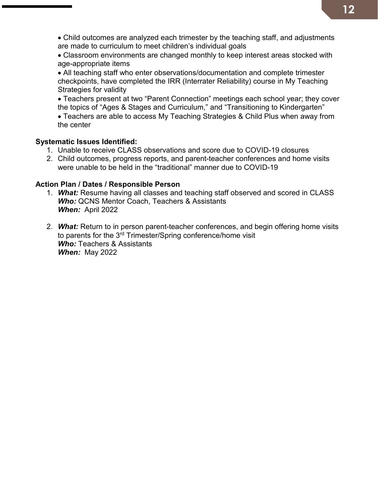- Child outcomes are analyzed each trimester by the teaching staff, and adjustments are made to curriculum to meet children's individual goals
- Classroom environments are changed monthly to keep interest areas stocked with age-appropriate items
- All teaching staff who enter observations/documentation and complete trimester checkpoints, have completed the IRR (Interrater Reliability) course in My Teaching Strategies for validity
- Teachers present at two "Parent Connection" meetings each school year; they cover the topics of "Ages & Stages and Curriculum," and "Transitioning to Kindergarten"
- Teachers are able to access My Teaching Strategies & Child Plus when away from the center

#### **Systematic Issues Identified:**

- 1. Unable to receive CLASS observations and score due to COVID-19 closures
- 2. Child outcomes, progress reports, and parent-teacher conferences and home visits were unable to be held in the "traditional" manner due to COVID-19

#### **Action Plan / Dates / Responsible Person**

- 1. *What:* Resume having all classes and teaching staff observed and scored in CLASS *Who:* QCNS Mentor Coach, Teachers & Assistants *When:* April 2022
- 2. *What:* Return to in person parent-teacher conferences, and begin offering home visits to parents for the 3<sup>rd</sup> Trimester/Spring conference/home visit *Who:* Teachers & Assistants *When:* May 2022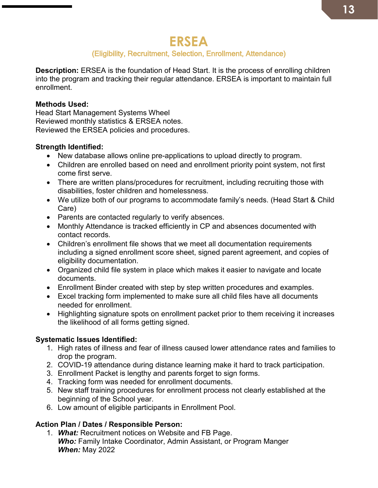### **ERSEA**

### (Eligibility, Recruitment, Selection, Enrollment, Attendance)

**Description:** ERSEA is the foundation of Head Start. It is the process of enrolling children into the program and tracking their regular attendance. ERSEA is important to maintain full enrollment.

#### **Methods Used:**

Head Start Management Systems Wheel Reviewed monthly statistics & ERSEA notes. Reviewed the ERSEA policies and procedures.

#### **Strength Identified:**

- New database allows online pre-applications to upload directly to program.
- Children are enrolled based on need and enrollment priority point system, not first come first serve.
- There are written plans/procedures for recruitment, including recruiting those with disabilities, foster children and homelessness.
- We utilize both of our programs to accommodate family's needs. (Head Start & Child Care)
- Parents are contacted regularly to verify absences.
- Monthly Attendance is tracked efficiently in CP and absences documented with contact records.
- Children's enrollment file shows that we meet all documentation requirements including a signed enrollment score sheet, signed parent agreement, and copies of eligibility documentation.
- Organized child file system in place which makes it easier to navigate and locate documents.
- Enrollment Binder created with step by step written procedures and examples.
- Excel tracking form implemented to make sure all child files have all documents needed for enrollment.
- Highlighting signature spots on enrollment packet prior to them receiving it increases the likelihood of all forms getting signed.

#### **Systematic Issues Identified:**

- 1. High rates of illness and fear of illness caused lower attendance rates and families to drop the program.
- 2. COVID-19 attendance during distance learning make it hard to track participation.
- 3. Enrollment Packet is lengthy and parents forget to sign forms.
- 4. Tracking form was needed for enrollment documents.
- 5. New staff training procedures for enrollment process not clearly established at the beginning of the School year.
- 6. Low amount of eligible participants in Enrollment Pool.

#### **Action Plan / Dates / Responsible Person:**

1. *What:* Recruitment notices on Website and FB Page. **Who: Family Intake Coordinator, Admin Assistant, or Program Manger** *When:* May 2022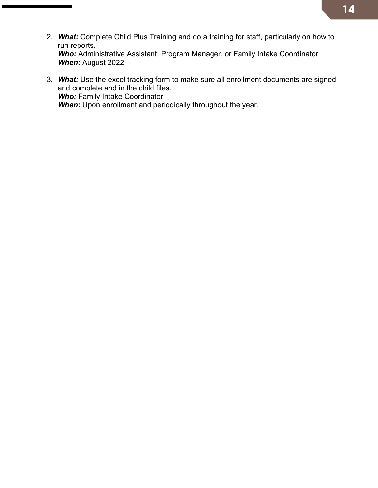- 2. *What:* Complete Child Plus Training and do a training for staff, particularly on how to run reports. *Who:* Administrative Assistant, Program Manager, or Family Intake Coordinator *When:* August 2022
- 3. *What:* Use the excel tracking form to make sure all enrollment documents are signed and complete and in the child files. *Who:* Family Intake Coordinator **When:** Upon enrollment and periodically throughout the year.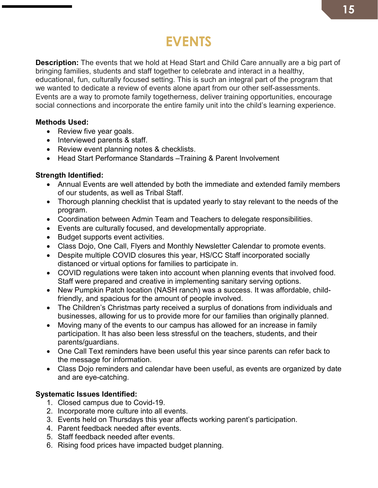### **EVENTS**

**Description:** The events that we hold at Head Start and Child Care annually are a big part of bringing families, students and staff together to celebrate and interact in a healthy, educational, fun, culturally focused setting. This is such an integral part of the program that we wanted to dedicate a review of events alone apart from our other self-assessments. Events are a way to promote family togetherness, deliver training opportunities, encourage social connections and incorporate the entire family unit into the child's learning experience.

#### **Methods Used:**

- Review five year goals.
- Interviewed parents & staff.
- Review event planning notes & checklists.
- Head Start Performance Standards –Training & Parent Involvement

#### **Strength Identified:**

- Annual Events are well attended by both the immediate and extended family members of our students, as well as Tribal Staff.
- Thorough planning checklist that is updated yearly to stay relevant to the needs of the program.
- Coordination between Admin Team and Teachers to delegate responsibilities.
- Events are culturally focused, and developmentally appropriate.
- Budget supports event activities.
- Class Dojo, One Call, Flyers and Monthly Newsletter Calendar to promote events.
- Despite multiple COVID closures this year, HS/CC Staff incorporated socially distanced or virtual options for families to participate in.
- COVID regulations were taken into account when planning events that involved food. Staff were prepared and creative in implementing sanitary serving options.
- New Pumpkin Patch location (NASH ranch) was a success. It was affordable, childfriendly, and spacious for the amount of people involved.
- The Children's Christmas party received a surplus of donations from individuals and businesses, allowing for us to provide more for our families than originally planned.
- Moving many of the events to our campus has allowed for an increase in family participation. It has also been less stressful on the teachers, students, and their parents/guardians.
- One Call Text reminders have been useful this year since parents can refer back to the message for information.
- Class Dojo reminders and calendar have been useful, as events are organized by date and are eye-catching.

#### **Systematic Issues Identified:**

- 1. Closed campus due to Covid-19.
- 2. Incorporate more culture into all events.
- 3. Events held on Thursdays this year affects working parent's participation.
- 4. Parent feedback needed after events.
- 5. Staff feedback needed after events.
- 6. Rising food prices have impacted budget planning.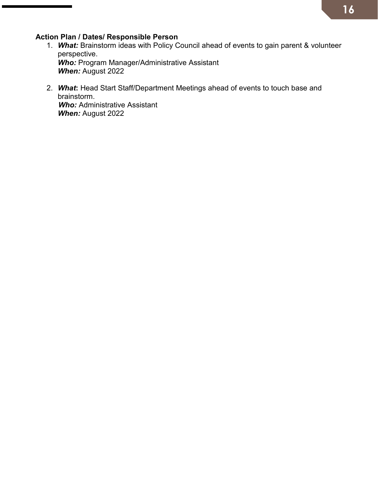#### **Action Plan / Dates/ Responsible Person**

- 1. *What:* Brainstorm ideas with Policy Council ahead of events to gain parent & volunteer perspective. *Who:* Program Manager/Administrative Assistant *When:* August 2022
- 2. *What***:** Head Start Staff/Department Meetings ahead of events to touch base and brainstorm. *Who:* Administrative Assistant *When:* August 2022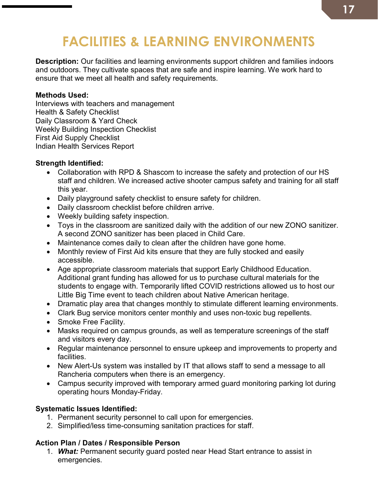### **FACILITIES & LEARNING ENVIRONMENTS**

**Description:** Our facilities and learning environments support children and families indoors and outdoors. They cultivate spaces that are safe and inspire learning. We work hard to ensure that we meet all health and safety requirements.

#### **Methods Used:**

Interviews with teachers and management Health & Safety Checklist Daily Classroom & Yard Check Weekly Building Inspection Checklist First Aid Supply Checklist Indian Health Services Report

#### **Strength Identified:**

- Collaboration with RPD & Shascom to increase the safety and protection of our HS staff and children. We increased active shooter campus safety and training for all staff this year.
- Daily playground safety checklist to ensure safety for children.
- Daily classroom checklist before children arrive.
- Weekly building safety inspection.
- Toys in the classroom are sanitized daily with the addition of our new ZONO sanitizer. A second ZONO sanitizer has been placed in Child Care.
- Maintenance comes daily to clean after the children have gone home.
- Monthly review of First Aid kits ensure that they are fully stocked and easily accessible.
- Age appropriate classroom materials that support Early Childhood Education. Additional grant funding has allowed for us to purchase cultural materials for the students to engage with. Temporarily lifted COVID restrictions allowed us to host our Little Big Time event to teach children about Native American heritage.
- Dramatic play area that changes monthly to stimulate different learning environments.
- Clark Bug service monitors center monthly and uses non-toxic bug repellents.
- Smoke Free Facility.
- Masks required on campus grounds, as well as temperature screenings of the staff and visitors every day.
- Regular maintenance personnel to ensure upkeep and improvements to property and facilities.
- New Alert-Us system was installed by IT that allows staff to send a message to all Rancheria computers when there is an emergency.
- Campus security improved with temporary armed guard monitoring parking lot during operating hours Monday-Friday.

#### **Systematic Issues Identified:**

- 1. Permanent security personnel to call upon for emergencies.
- 2. Simplified/less time-consuming sanitation practices for staff.

#### **Action Plan / Dates / Responsible Person**

1. *What:* Permanent security guard posted near Head Start entrance to assist in emergencies.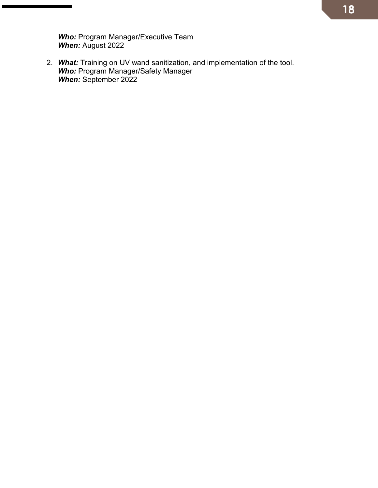*Who:* Program Manager/Executive Team *When:* August 2022

2. *What:* Training on UV wand sanitization, and implementation of the tool. *Who:* Program Manager/Safety Manager *When:* September 2022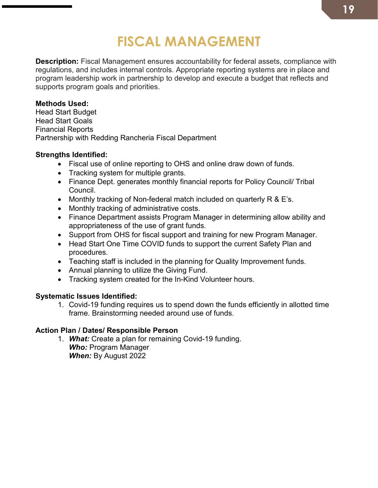### **FISCAL MANAGEMENT**

**Description:** Fiscal Management ensures accountability for federal assets, compliance with regulations, and includes internal controls. Appropriate reporting systems are in place and program leadership work in partnership to develop and execute a budget that reflects and supports program goals and priorities.

#### **Methods Used:**

Head Start Budget Head Start Goals Financial Reports Partnership with Redding Rancheria Fiscal Department

#### **Strengths Identified:**

- Fiscal use of online reporting to OHS and online draw down of funds.
- Tracking system for multiple grants.
- Finance Dept. generates monthly financial reports for Policy Council/ Tribal Council.
- Monthly tracking of Non-federal match included on quarterly R & E's.
- Monthly tracking of administrative costs.
- Finance Department assists Program Manager in determining allow ability and appropriateness of the use of grant funds.
- Support from OHS for fiscal support and training for new Program Manager.
- Head Start One Time COVID funds to support the current Safety Plan and procedures.
- Teaching staff is included in the planning for Quality Improvement funds.
- Annual planning to utilize the Giving Fund.
- Tracking system created for the In-Kind Volunteer hours.

#### **Systematic Issues Identified:**

1. Covid-19 funding requires us to spend down the funds efficiently in allotted time frame. Brainstorming needed around use of funds.

#### **Action Plan / Dates/ Responsible Person**

1. *What:* Create a plan for remaining Covid-19 funding. *Who:* Program Manager *When:* By August 2022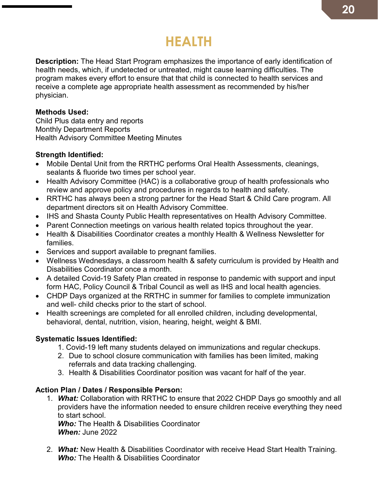### **HEALTH**

**Description:** The Head Start Program emphasizes the importance of early identification of health needs, which, if undetected or untreated, might cause learning difficulties. The program makes every effort to ensure that that child is connected to health services and receive a complete age appropriate health assessment as recommended by his/her physician.

#### **Methods Used:**

Child Plus data entry and reports Monthly Department Reports Health Advisory Committee Meeting Minutes

#### **Strength Identified:**

- Mobile Dental Unit from the RRTHC performs Oral Health Assessments, cleanings, sealants & fluoride two times per school year.
- Health Advisory Committee (HAC) is a collaborative group of health professionals who review and approve policy and procedures in regards to health and safety.
- RRTHC has always been a strong partner for the Head Start & Child Care program. All department directors sit on Health Advisory Committee.
- IHS and Shasta County Public Health representatives on Health Advisory Committee.
- Parent Connection meetings on various health related topics throughout the year.
- Health & Disabilities Coordinator creates a monthly Health & Wellness Newsletter for families.
- Services and support available to pregnant families.
- Wellness Wednesdays, a classroom health & safety curriculum is provided by Health and Disabilities Coordinator once a month.
- A detailed Covid-19 Safety Plan created in response to pandemic with support and input form HAC, Policy Council & Tribal Council as well as IHS and local health agencies.
- CHDP Days organized at the RRTHC in summer for families to complete immunization and well- child checks prior to the start of school.
- Health screenings are completed for all enrolled children, including developmental, behavioral, dental, nutrition, vision, hearing, height, weight & BMI.

#### **Systematic Issues Identified:**

- 1. Covid-19 left many students delayed on immunizations and regular checkups.
- 2. Due to school closure communication with families has been limited, making referrals and data tracking challenging.
- 3. Health & Disabilities Coordinator position was vacant for half of the year.

#### **Action Plan / Dates / Responsible Person:**

1. *What:* Collaboration with RRTHC to ensure that 2022 CHDP Days go smoothly and all providers have the information needed to ensure children receive everything they need to start school. *Who:* The Health & Disabilities Coordinator

*When:* June 2022

2. *What:* New Health & Disabilities Coordinator with receive Head Start Health Training. *Who:* The Health & Disabilities Coordinator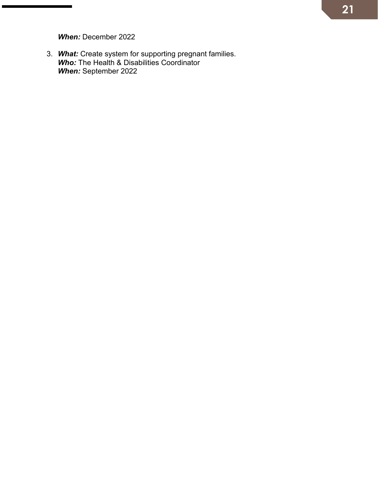*When:* December 2022

3. *What:* Create system for supporting pregnant families. *Who:* The Health & Disabilities Coordinator *When:* September 2022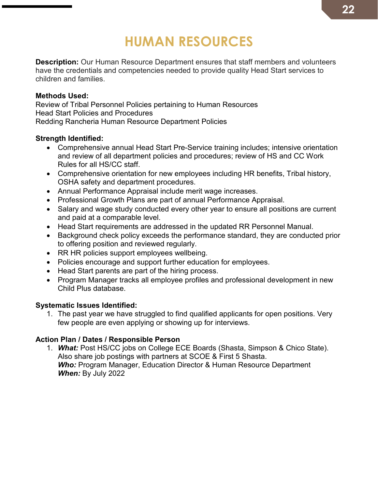### **HUMAN RESOURCES**

**Description:** Our Human Resource Department ensures that staff members and volunteers have the credentials and competencies needed to provide quality Head Start services to children and families.

#### **Methods Used:**

Review of Tribal Personnel Policies pertaining to Human Resources Head Start Policies and Procedures Redding Rancheria Human Resource Department Policies

#### **Strength Identified:**

- Comprehensive annual Head Start Pre-Service training includes; intensive orientation and review of all department policies and procedures; review of HS and CC Work Rules for all HS/CC staff.
- Comprehensive orientation for new employees including HR benefits, Tribal history, OSHA safety and department procedures.
- Annual Performance Appraisal include merit wage increases.
- Professional Growth Plans are part of annual Performance Appraisal.
- Salary and wage study conducted every other year to ensure all positions are current and paid at a comparable level.
- Head Start requirements are addressed in the updated RR Personnel Manual.
- Background check policy exceeds the performance standard, they are conducted prior to offering position and reviewed regularly.
- RR HR policies support employees wellbeing.
- Policies encourage and support further education for employees.
- Head Start parents are part of the hiring process.
- Program Manager tracks all employee profiles and professional development in new Child Plus database.

#### **Systematic Issues Identified:**

1. The past year we have struggled to find qualified applicants for open positions. Very few people are even applying or showing up for interviews.

#### **Action Plan / Dates / Responsible Person**

1. *What:* Post HS/CC jobs on College ECE Boards (Shasta, Simpson & Chico State). Also share job postings with partners at SCOE & First 5 Shasta. *Who:* Program Manager, Education Director & Human Resource Department *When:* By July 2022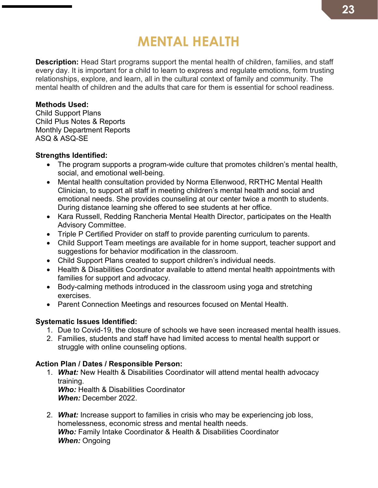### **MENTAL HEALTH**

**Description:** Head Start programs support the mental health of children, families, and staff every day. It is important for a child to learn to express and regulate emotions, form trusting relationships, explore, and learn, all in the cultural context of family and community. The mental health of children and the adults that care for them is essential for school readiness.

#### **Methods Used:**

Child Support Plans Child Plus Notes & Reports Monthly Department Reports ASQ & ASQ-SE

#### **Strengths Identified:**

- The program supports a program-wide culture that promotes children's mental health, social, and emotional well-being.
- Mental health consultation provided by Norma Ellenwood, RRTHC Mental Health Clinician, to support all staff in meeting children's mental health and social and emotional needs. She provides counseling at our center twice a month to students. During distance learning she offered to see students at her office.
- Kara Russell, Redding Rancheria Mental Health Director, participates on the Health Advisory Committee.
- Triple P Certified Provider on staff to provide parenting curriculum to parents.
- Child Support Team meetings are available for in home support, teacher support and suggestions for behavior modification in the classroom.
- Child Support Plans created to support children's individual needs.
- Health & Disabilities Coordinator available to attend mental health appointments with families for support and advocacy.
- Body-calming methods introduced in the classroom using yoga and stretching exercises.
- Parent Connection Meetings and resources focused on Mental Health.

#### **Systematic Issues Identified:**

- 1. Due to Covid-19, the closure of schools we have seen increased mental health issues.
- 2. Families, students and staff have had limited access to mental health support or struggle with online counseling options.

#### **Action Plan / Dates / Responsible Person:**

- 1. *What:* New Health & Disabilities Coordinator will attend mental health advocacy training. **Who:** Health & Disabilities Coordinator *When:* December 2022.
- 2. *What:* Increase support to families in crisis who may be experiencing job loss, homelessness, economic stress and mental health needs. *Who:* Family Intake Coordinator & Health & Disabilities Coordinator *When:* Ongoing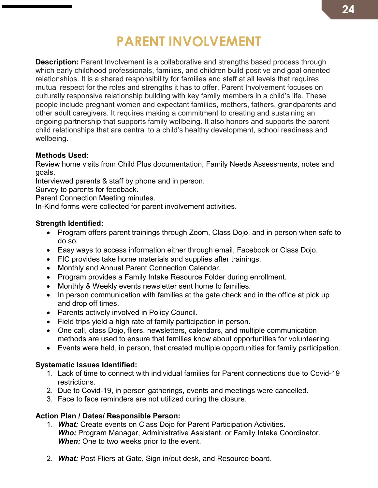### **PARENT INVOLVEMENT**

**Description:** Parent Involvement is a collaborative and strengths based process through which early childhood professionals, families, and children build positive and goal oriented relationships. It is a shared responsibility for families and staff at all levels that requires mutual respect for the roles and strengths it has to offer. Parent Involvement focuses on culturally responsive relationship building with key family members in a child's life. These people include pregnant women and expectant families, mothers, fathers, grandparents and other adult caregivers. It requires making a commitment to creating and sustaining an ongoing partnership that supports family wellbeing. It also honors and supports the parent child relationships that are central to a child's healthy development, school readiness and wellbeing.

#### **Methods Used:**

Review home visits from Child Plus documentation, Family Needs Assessments, notes and goals.

Interviewed parents & staff by phone and in person.

Survey to parents for feedback.

Parent Connection Meeting minutes.

In-Kind forms were collected for parent involvement activities.

#### **Strength Identified:**

- Program offers parent trainings through Zoom, Class Dojo, and in person when safe to do so.
- Easy ways to access information either through email, Facebook or Class Dojo.
- FIC provides take home materials and supplies after trainings.
- Monthly and Annual Parent Connection Calendar.
- Program provides a Family Intake Resource Folder during enrollment.
- Monthly & Weekly events newsletter sent home to families.
- In person communication with families at the gate check and in the office at pick up and drop off times.
- Parents actively involved in Policy Council.
- Field trips yield a high rate of family participation in person.
- One call, class Dojo, fliers, newsletters, calendars, and multiple communication methods are used to ensure that families know about opportunities for volunteering.
- Events were held, in person, that created multiple opportunities for family participation.

#### **Systematic Issues Identified:**

- 1. Lack of time to connect with individual families for Parent connections due to Covid-19 restrictions.
- 2. Due to Covid-19, in person gatherings, events and meetings were cancelled.
- 3. Face to face reminders are not utilized during the closure.

#### **Action Plan / Dates/ Responsible Person:**

- 1. *What:* Create events on Class Dojo for Parent Participation Activities. *Who:* Program Manager, Administrative Assistant, or Family Intake Coordinator. *When:* One to two weeks prior to the event.
- 2. *What:* Post Fliers at Gate, Sign in/out desk, and Resource board.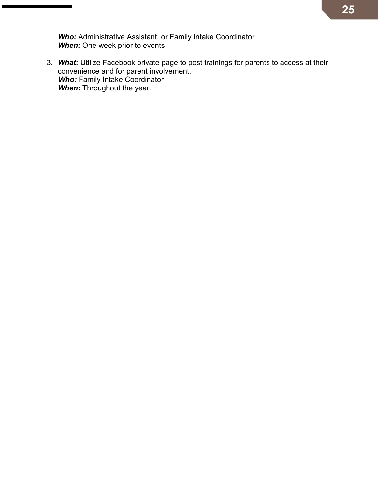*Who:* Administrative Assistant, or Family Intake Coordinator *When:* One week prior to events

3. *What***:** Utilize Facebook private page to post trainings for parents to access at their convenience and for parent involvement. *Who:* Family Intake Coordinator *When:* Throughout the year.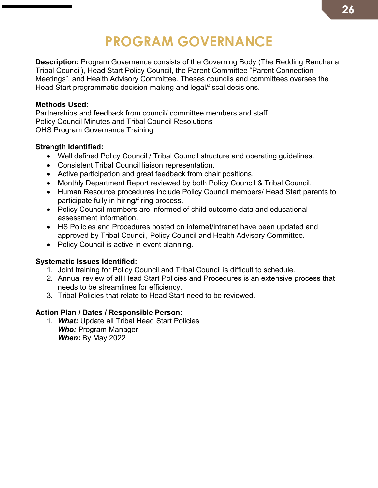### **PROGRAM GOVERNANCE**

**Description:** Program Governance consists of the Governing Body (The Redding Rancheria Tribal Council), Head Start Policy Council, the Parent Committee "Parent Connection Meetings", and Health Advisory Committee. Theses councils and committees oversee the Head Start programmatic decision-making and legal/fiscal decisions.

#### **Methods Used:**

Partnerships and feedback from council/ committee members and staff Policy Council Minutes and Tribal Council Resolutions OHS Program Governance Training

#### **Strength Identified:**

- Well defined Policy Council / Tribal Council structure and operating guidelines.
- Consistent Tribal Council liaison representation.
- Active participation and great feedback from chair positions.
- Monthly Department Report reviewed by both Policy Council & Tribal Council.
- Human Resource procedures include Policy Council members/ Head Start parents to participate fully in hiring/firing process.
- Policy Council members are informed of child outcome data and educational assessment information.
- HS Policies and Procedures posted on internet/intranet have been updated and approved by Tribal Council, Policy Council and Health Advisory Committee.
- Policy Council is active in event planning.

#### **Systematic Issues Identified:**

- 1. Joint training for Policy Council and Tribal Council is difficult to schedule.
- 2. Annual review of all Head Start Policies and Procedures is an extensive process that needs to be streamlines for efficiency.
- 3. Tribal Policies that relate to Head Start need to be reviewed.

#### **Action Plan / Dates / Responsible Person:**

1. *What:* Update all Tribal Head Start Policies *Who:* Program Manager *When:* By May 2022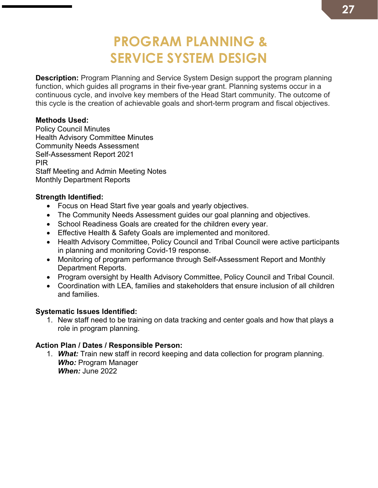### **PROGRAM PLANNING & SERVICE SYSTEM DESIGN**

**Description:** Program Planning and Service System Design support the program planning function, which guides all programs in their five-year grant. Planning systems occur in a continuous cycle, and involve key members of the Head Start community. The outcome of this cycle is the creation of achievable goals and short-term program and fiscal objectives.

#### **Methods Used:**

Policy Council Minutes Health Advisory Committee Minutes Community Needs Assessment Self-Assessment Report 2021 PIR Staff Meeting and Admin Meeting Notes Monthly Department Reports

#### **Strength Identified:**

- Focus on Head Start five year goals and yearly objectives.
- The Community Needs Assessment guides our goal planning and objectives.
- School Readiness Goals are created for the children every year.
- Effective Health & Safety Goals are implemented and monitored.
- Health Advisory Committee, Policy Council and Tribal Council were active participants in planning and monitoring Covid-19 response.
- Monitoring of program performance through Self-Assessment Report and Monthly Department Reports.
- Program oversight by Health Advisory Committee, Policy Council and Tribal Council.
- Coordination with LEA, families and stakeholders that ensure inclusion of all children and families.

#### **Systematic Issues Identified:**

1. New staff need to be training on data tracking and center goals and how that plays a role in program planning.

#### **Action Plan / Dates / Responsible Person:**

1. *What:* Train new staff in record keeping and data collection for program planning. *Who:* Program Manager *When:* June 2022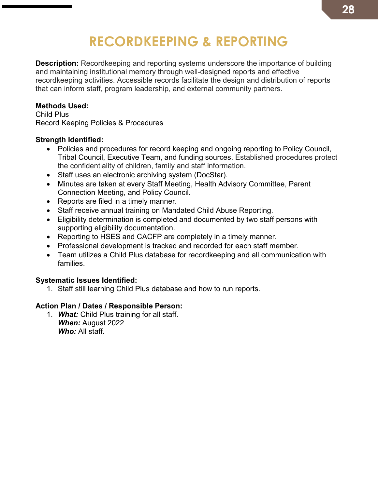### **RECORDKEEPING & REPORTING**

**Description:** Recordkeeping and reporting systems underscore the importance of building and maintaining institutional memory through well-designed reports and effective recordkeeping activities. Accessible records facilitate the design and distribution of reports that can inform staff, program leadership, and external community partners.

#### **Methods Used:**

Child Plus Record Keeping Policies & Procedures

#### **Strength Identified:**

- Policies and procedures for record keeping and ongoing reporting to Policy Council, Tribal Council, Executive Team, and funding sources. Established procedures protect the confidentiality of children, family and staff information.
- Staff uses an electronic archiving system (DocStar).
- Minutes are taken at every Staff Meeting, Health Advisory Committee, Parent Connection Meeting, and Policy Council.
- Reports are filed in a timely manner.
- Staff receive annual training on Mandated Child Abuse Reporting.
- Eligibility determination is completed and documented by two staff persons with supporting eligibility documentation.
- Reporting to HSES and CACFP are completely in a timely manner.
- Professional development is tracked and recorded for each staff member.
- Team utilizes a Child Plus database for recordkeeping and all communication with families.

#### **Systematic Issues Identified:**

1. Staff still learning Child Plus database and how to run reports.

#### **Action Plan / Dates / Responsible Person:**

1. *What:* Child Plus training for all staff. *When:* August 2022 *Who:* All staff.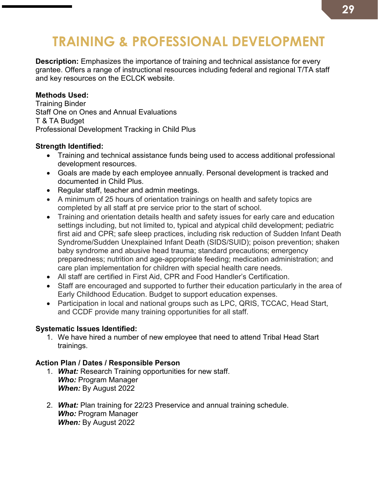### **TRAINING & PROFESSIONAL DEVELOPMENT**

**Description:** Emphasizes the importance of training and technical assistance for every grantee. Offers a range of instructional resources including federal and regional T/TA staff and key resources on the ECLCK website.

#### **Methods Used:**

Training Binder Staff One on Ones and Annual Evaluations T & TA Budget Professional Development Tracking in Child Plus

#### **Strength Identified:**

- Training and technical assistance funds being used to access additional professional development resources.
- Goals are made by each employee annually. Personal development is tracked and documented in Child Plus.
- Regular staff, teacher and admin meetings.
- A minimum of 25 hours of orientation trainings on health and safety topics are completed by all staff at pre service prior to the start of school.
- Training and orientation details health and safety issues for early care and education settings including, but not limited to, typical and atypical child development; pediatric first aid and CPR; safe sleep practices, including risk reduction of Sudden Infant Death Syndrome/Sudden Unexplained Infant Death (SIDS/SUID); poison prevention; shaken baby syndrome and abusive head trauma; standard precautions; emergency preparedness; nutrition and age-appropriate feeding; medication administration; and care plan implementation for children with special health care needs.
- All staff are certified in First Aid, CPR and Food Handler's Certification.
- Staff are encouraged and supported to further their education particularly in the area of Early Childhood Education. Budget to support education expenses.
- Participation in local and national groups such as LPC, QRIS, TCCAC, Head Start, and CCDF provide many training opportunities for all staff.

#### **Systematic Issues Identified:**

1. We have hired a number of new employee that need to attend Tribal Head Start trainings.

#### **Action Plan / Dates / Responsible Person**

- 1. *What:* Research Training opportunities for new staff. *Who:* Program Manager *When:* By August 2022
- 2. *What:* Plan training for 22/23 Preservice and annual training schedule. *Who:* Program Manager *When:* By August 2022